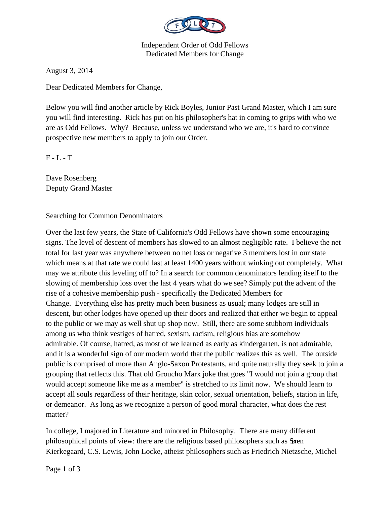

Independent Order of Odd Fellows Dedicated Members for Change

August 3, 2014

Dear Dedicated Members for Change,

Below you will find another article by Rick Boyles, Junior Past Grand Master, which I am sure you will find interesting. Rick has put on his philosopher's hat in coming to grips with who we are as Odd Fellows. Why? Because, unless we understand who we are, it's hard to convince prospective new members to apply to join our Order.

 $F - L - T$ 

Dave Rosenberg Deputy Grand Master

Searching for Common Denominators

Over the last few years, the State of California's Odd Fellows have shown some encouraging signs. The level of descent of members has slowed to an almost negligible rate. I believe the net total for last year was anywhere between no net loss or negative 3 members lost in our state which means at that rate we could last at least 1400 years without winking out completely. What may we attribute this leveling off to? In a search for common denominators lending itself to the slowing of membership loss over the last 4 years what do we see? Simply put the advent of the rise of a cohesive membership push - specifically the Dedicated Members for Change. Everything else has pretty much been business as usual; many lodges are still in descent, but other lodges have opened up their doors and realized that either we begin to appeal to the public or we may as well shut up shop now. Still, there are some stubborn individuals among us who think vestiges of hatred, sexism, racism, religious bias are somehow admirable. Of course, hatred, as most of we learned as early as kindergarten, is not admirable, and it is a wonderful sign of our modern world that the public realizes this as well. The outside public is comprised of more than Anglo-Saxon Protestants, and quite naturally they seek to join a grouping that reflects this. That old Groucho Marx joke that goes "I would not join a group that would accept someone like me as a member" is stretched to its limit now. We should learn to accept all souls regardless of their heritage, skin color, sexual orientation, beliefs, station in life, or demeanor. As long as we recognize a person of good moral character, what does the rest matter?

In college, I majored in Literature and minored in Philosophy. There are many different philosophical points of view: there are the religious based philosophers such as Søren Kierkegaard, C.S. Lewis, John Locke, atheist philosophers such as Friedrich Nietzsche, Michel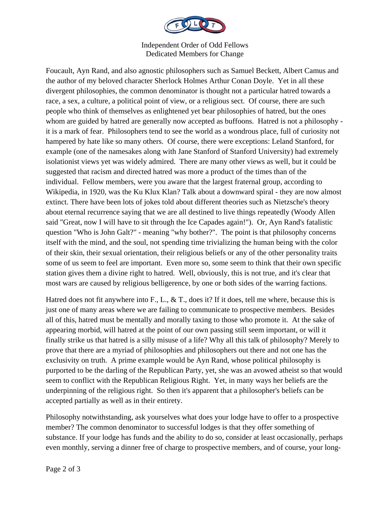

Independent Order of Odd Fellows Dedicated Members for Change

Foucault, Ayn Rand, and also agnostic philosophers such as Samuel Beckett, Albert Camus and the author of my beloved character Sherlock Holmes Arthur Conan Doyle. Yet in all these divergent philosophies, the common denominator is thought not a particular hatred towards a race, a sex, a culture, a political point of view, or a religious sect. Of course, there are such people who think of themselves as enlightened yet bear philosophies of hatred, but the ones whom are guided by hatred are generally now accepted as buffoons. Hatred is not a philosophy it is a mark of fear. Philosophers tend to see the world as a wondrous place, full of curiosity not hampered by hate like so many others. Of course, there were exceptions: Leland Stanford, for example (one of the namesakes along with Jane Stanford of Stanford University) had extremely isolationist views yet was widely admired. There are many other views as well, but it could be suggested that racism and directed hatred was more a product of the times than of the individual. Fellow members, were you aware that the largest fraternal group, according to Wikipedia, in 1920, was the Ku Klux Klan? Talk about a downward spiral - they are now almost extinct. There have been lots of jokes told about different theories such as Nietzsche's theory about eternal recurrence saying that we are all destined to live things repeatedly (Woody Allen said "Great, now I will have to sit through the Ice Capades again!"). Or, Ayn Rand's fatalistic question "Who is John Galt?" - meaning "why bother?". The point is that philosophy concerns itself with the mind, and the soul, not spending time trivializing the human being with the color of their skin, their sexual orientation, their religious beliefs or any of the other personality traits some of us seem to feel are important. Even more so, some seem to think that their own specific station gives them a divine right to hatred. Well, obviously, this is not true, and it's clear that most wars are caused by religious belligerence, by one or both sides of the warring factions.

Hatred does not fit anywhere into F., L., & T., does it? If it does, tell me where, because this is just one of many areas where we are failing to communicate to prospective members. Besides all of this, hatred must be mentally and morally taxing to those who promote it. At the sake of appearing morbid, will hatred at the point of our own passing still seem important, or will it finally strike us that hatred is a silly misuse of a life? Why all this talk of philosophy? Merely to prove that there are a myriad of philosophies and philosophers out there and not one has the exclusivity on truth. A prime example would be Ayn Rand, whose political philosophy is purported to be the darling of the Republican Party, yet, she was an avowed atheist so that would seem to conflict with the Republican Religious Right. Yet, in many ways her beliefs are the underpinning of the religious right. So then it's apparent that a philosopher's beliefs can be accepted partially as well as in their entirety.

Philosophy notwithstanding, ask yourselves what does your lodge have to offer to a prospective member? The common denominator to successful lodges is that they offer something of substance. If your lodge has funds and the ability to do so, consider at least occasionally, perhaps even monthly, serving a dinner free of charge to prospective members, and of course, your long-